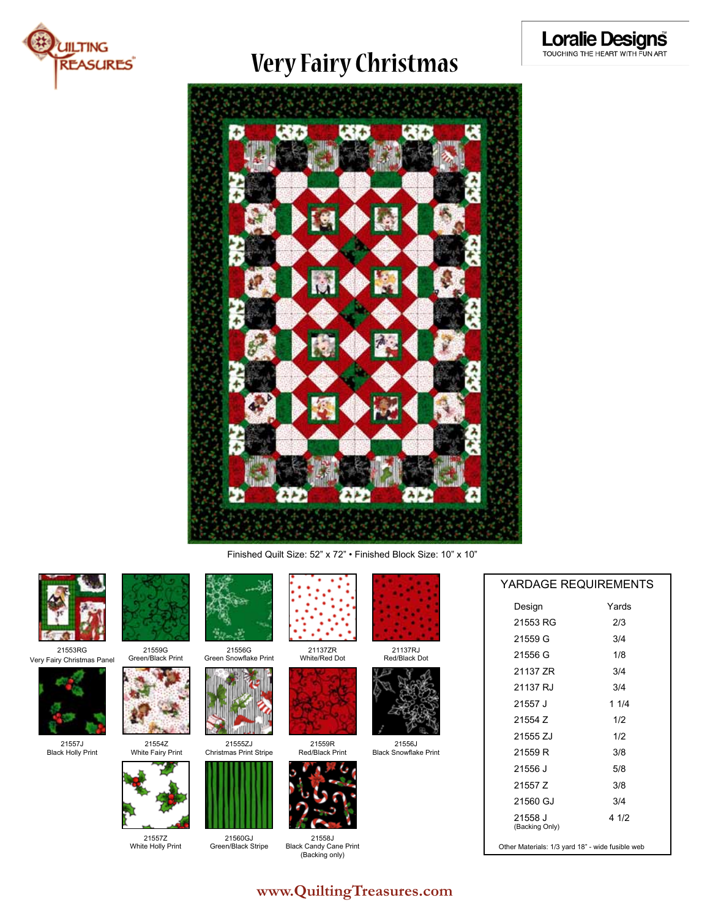

## **Very Fairy Christmas**



Finished Quilt Size: 52" x 72" • Finished Block Size: 10" x 10"



21553RG Very Fairy Christmas Panel



21557J Black Holly Print



21559G Green/Black Print



21554Z White Fairy Print Christmas Print Stripe



21560GJ Green/Black Stripe

21557Z White Holly Print



Green Snowflake Print 21137ZR White/Red Dot



21559R Red/Black Print



21558J Blac (Backing only)





21556J





Black Snowflake Print



| 21558J              |  |
|---------------------|--|
| ck Candy Cane Print |  |
| (Backing only)      |  |

| Design                    | Yards |
|---------------------------|-------|
| 21553 RG                  | 2/3   |
| 21559 G                   | 3/4   |
| 21556 G                   | 1/8   |
| 21137 ZR                  | 3/4   |
| 21137 RJ                  | 3/4   |
| 21557 J                   | 1 1/4 |
| 21554 Z                   | 1/2   |
| 21555 ZJ                  | 1/2   |
| 21559 R                   | 3/8   |
| 21556 J                   | 5/8   |
| 21557 Z                   | 3/8   |
| 21560 GJ                  | 3/4   |
| 21558 J<br>(Backing Only) | 4 1/2 |

YARDAGE REQUIREMENTS

Other Materials: 1/3 yard 18" - wide fusible web

### **www.QuiltingTreasures.com**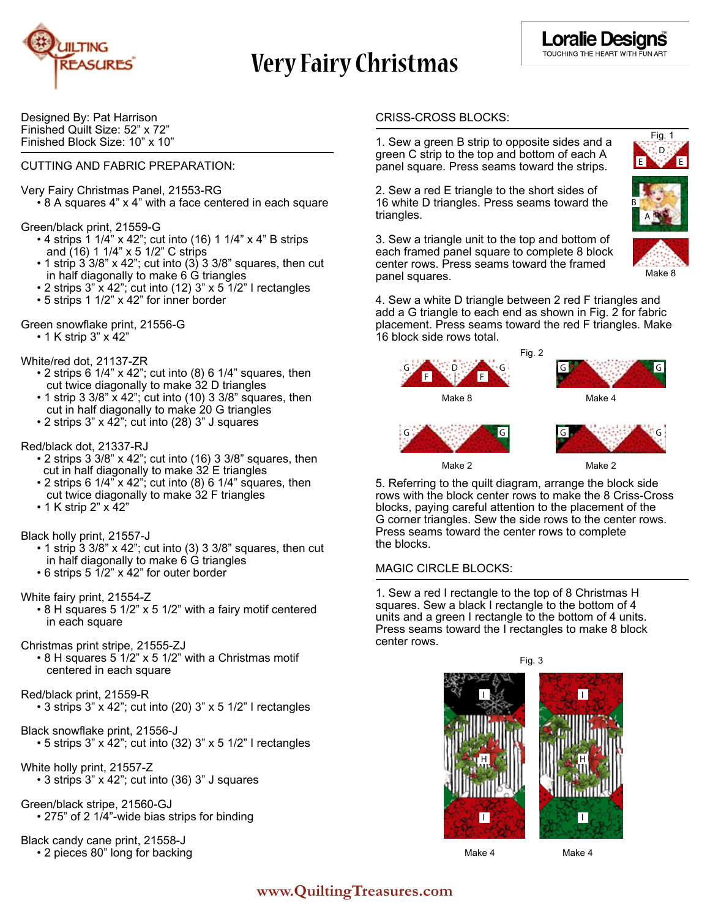

# **Very Fairy Christmas**

Designed By: Pat Harrison Finished Quilt Size: 52" x 72" Finished Block Size: 10" x 10"

#### CUTTING AND FABRIC PREPARATION:

Very Fairy Christmas Panel, 21553-RG

• 8 A squares 4" x 4" with a face centered in each square

Green/black print, 21559-G

- 4 strips 1 1/4" x 42"; cut into (16) 1 1/4" x 4" B strips and (16) 1 1/4" x 5 1/2" C strips
- $\cdot$  1 strip 3 3/8" x 42"; cut into (3) 3 3/8" squares, then cut in half diagonally to make 6 G triangles
- 2 strips 3" x 42"; cut into (12) 3" x 5 1/2" I rectangles
- 5 strips 1 1/2" x 42" for inner border
- Green snowflake print, 21556-G
	- 1 K strip 3" x 42"

#### White/red dot, 21137-ZR

- $\cdot$  2 strips 6 1/4" x 42"; cut into (8) 6 1/4" squares, then cut twice diagonally to make 32 D triangles
- 1 strip 3 3/8" x 42"; cut into (10) 3 3/8" squares, then cut in half diagonally to make 20 G triangles
- 2 strips 3" x 42"; cut into (28) 3" J squares

#### Red/black dot, 21337-RJ

- 2 strips 3 3/8" x 42"; cut into (16) 3 3/8" squares, then cut in half diagonally to make 32 E triangles
- 2 strips 6 1/4" x 42"; cut into (8) 6 1/4" squares, then cut twice diagonally to make 32 F triangles
- 1 K strip 2" x 42"
- Black holly print, 21557-J
	- $\cdot$  1 strip 3 3/8" x 42"; cut into (3) 3 3/8" squares, then cut in half diagonally to make 6 G triangles
	- 6 strips 5 1/2" x 42" for outer border
- White fairy print, 21554-Z
	- 8 H squares 5 1/2" x 5 1/2" with a fairy motif centered in each square

#### Christmas print stripe, 21555-ZJ

 • 8 H squares 5 1/2" x 5 1/2" with a Christmas motif centered in each square

#### Red/black print, 21559-R

- 3 strips 3" x 42"; cut into (20) 3" x 5 1/2" I rectangles
- Black snowflake print, 21556-J  $\cdot$  5 strips 3" x 42"; cut into (32) 3" x 5 1/2" I rectangles
- White holly print, 21557-Z • 3 strips 3" x 42"; cut into (36) 3" J squares
- Green/black stripe, 21560-GJ • 275" of 2 1/4"-wide bias strips for binding

Black candy cane print, 21558-J • 2 pieces 80" long for backing

#### CRISS-CROSS BLOCKS:

1. Sew a green B strip to opposite sides and a green C strip to the top and bottom of each A panel square. Press seams toward the strips.

2. Sew a red E triangle to the short sides of 16 white D triangles. Press seams toward the triangles.



Fig.

E **Ney** E D

Make 8

3. Sew a triangle unit to the top and bottom of each framed panel square to complete 8 block center rows. Press seams toward the framed panel squares.

4. Sew a white D triangle between 2 red F triangles and add a G triangle to each end as shown in Fig. 2 for fabric placement. Press seams toward the red F triangles. Make 16 block side rows total.



Make 2 Make 2

5. Referring to the quilt diagram, arrange the block side rows with the block center rows to make the 8 Criss-Cross blocks, paying careful attention to the placement of the G corner triangles. Sew the side rows to the center rows. Press seams toward the center rows to complete the blocks.

#### MAGIC CIRCLE BLOCKS:

1. Sew a red I rectangle to the top of 8 Christmas H squares. Sew a black I rectangle to the bottom of 4 units and a green I rectangle to the bottom of 4 units. Press seams toward the I rectangles to make 8 block center rows.



Make 4 Make 4

### **www.QuiltingTreasures.com**